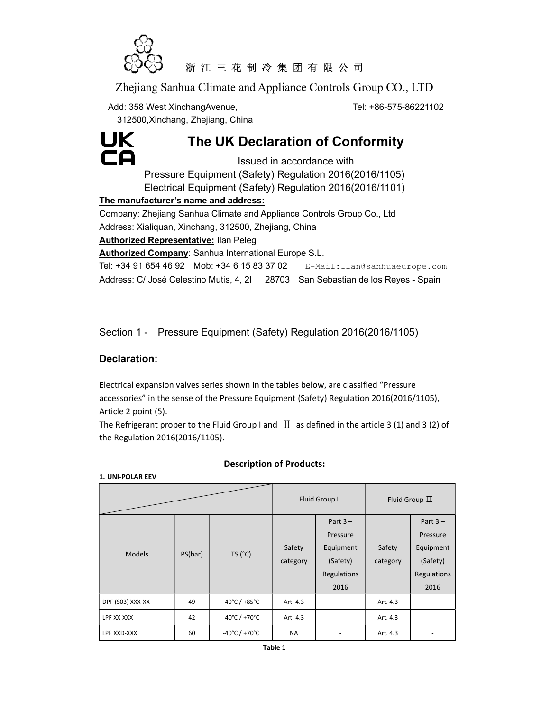

# 浙 江 三 花 制 冷 集 团 有 限 公 司

Zhejiang Sanhua Climate and Appliance Controls Group CO., LTD

Add: 358 West XinchangAvenue, The State of the Tel: +86-575-86221102

312500,Xinchang, Zhejiang, China



# The UK Declaration of Conformity

Issued in accordance with Pressure Equipment (Safety) Regulation 2016(2016/1105) Electrical Equipment (Safety) Regulation 2016(2016/1101)

### The manufacturer's name and address:

Company: Zhejiang Sanhua Climate and Appliance Controls Group Co., Ltd Address: Xialiquan, Xinchang, 312500, Zhejiang, China **Authorized Representative: Ilan Peleg** Authorized Company: Sanhua International Europe S.L. Tel: +34 91 654 46 92 Mob: +34 6 15 83 37 02 E-Mail: Ilan@sanhuaeurope.com

Address: C/ José Celestino Mutis, 4, 2I 28703 San Sebastian de los Reyes - Spain

Section 1 - Pressure Equipment (Safety) Regulation 2016(2016/1105)

## Declaration:

1. UNI-POLAR EEV

Electrical expansion valves series shown in the tables below, are classified "Pressure accessories" in the sense of the Pressure Equipment (Safety) Regulation 2016(2016/1105), Article 2 point (5).

The Refrigerant proper to the Fluid Group I and  $\text{II}\;$  as defined in the article 3 (1) and 3 (2) of the Regulation 2016(2016/1105).

|                  |         |                                   | Fluid Group I      |                                                                        | Fluid Group $\Pi$  |                                                                        |
|------------------|---------|-----------------------------------|--------------------|------------------------------------------------------------------------|--------------------|------------------------------------------------------------------------|
| <b>Models</b>    | PS(bar) | TS('C)                            | Safety<br>category | Part $3 -$<br>Pressure<br>Equipment<br>(Safety)<br>Regulations<br>2016 | Safety<br>category | Part $3 -$<br>Pressure<br>Equipment<br>(Safety)<br>Regulations<br>2016 |
| DPF (S03) XXX-XX | 49      | $-40^{\circ}$ C / $+85^{\circ}$ C | Art. 4.3           |                                                                        | Art. 4.3           |                                                                        |
| LPF XX-XXX       | 42      | -40°C / +70°C                     | Art. 4.3           | $\overline{\phantom{a}}$                                               | Art. 4.3           | ٠                                                                      |
| LPF XXD-XXX      | 60      | $-40^{\circ}$ C / $+70^{\circ}$ C | <b>NA</b>          |                                                                        | Art. 4.3           |                                                                        |

## Description of Products: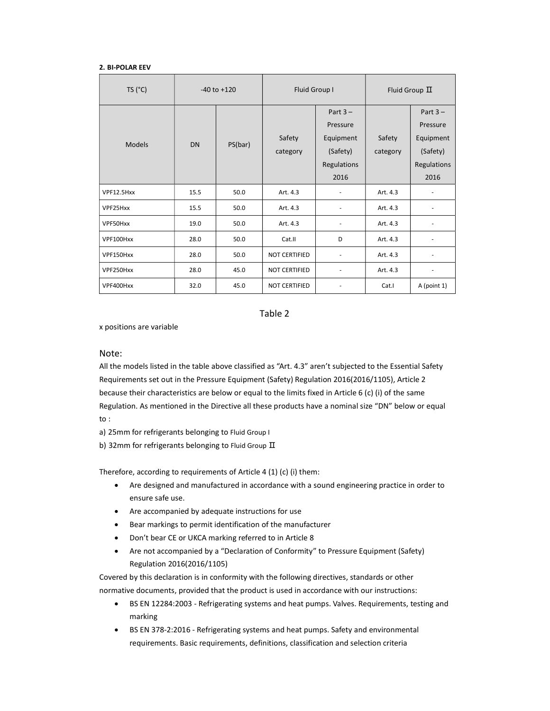#### 2. BI-POLAR EEV

| TS (°C)       | $-40$ to $+120$ |         | Fluid Group I        |                                                                        | Fluid Group $\Pi$  |                                                                        |
|---------------|-----------------|---------|----------------------|------------------------------------------------------------------------|--------------------|------------------------------------------------------------------------|
| <b>Models</b> | DN              | PS(bar) | Safety<br>category   | Part $3 -$<br>Pressure<br>Equipment<br>(Safety)<br>Regulations<br>2016 | Safety<br>category | Part $3 -$<br>Pressure<br>Equipment<br>(Safety)<br>Regulations<br>2016 |
| VPF12.5Hxx    | 15.5            | 50.0    | Art. 4.3             | $\overline{\phantom{a}}$                                               | Art. 4.3           |                                                                        |
| VPF25Hxx      | 15.5            | 50.0    | Art. 4.3             |                                                                        | Art. 4.3           |                                                                        |
| VPF50Hxx      | 19.0            | 50.0    | Art. 4.3             |                                                                        | Art. 4.3           |                                                                        |
| VPF100Hxx     | 28.0            | 50.0    | Cat.II               | D                                                                      | Art. 4.3           |                                                                        |
| VPF150Hxx     | 28.0            | 50.0    | <b>NOT CERTIFIED</b> |                                                                        | Art. 4.3           |                                                                        |
| VPF250Hxx     | 28.0            | 45.0    | <b>NOT CERTIFIED</b> |                                                                        | Art. 4.3           |                                                                        |
| VPF400Hxx     | 32.0            | 45.0    | <b>NOT CERTIFIED</b> |                                                                        | Cat.I              | A (point 1)                                                            |

Table 2

x positions are variable

#### Note:

All the models listed in the table above classified as "Art. 4.3" aren't subjected to the Essential Safety Requirements set out in the Pressure Equipment (Safety) Regulation 2016(2016/1105), Article 2 because their characteristics are below or equal to the limits fixed in Article 6 (c) (i) of the same Regulation. As mentioned in the Directive all these products have a nominal size "DN" below or equal to :

a) 25mm for refrigerants belonging to Fluid Group I

b) 32mm for refrigerants belonging to Fluid Group  $\overline{\mathbb{II}}$ 

Therefore, according to requirements of Article 4 (1) (c) (i) them:

- Are designed and manufactured in accordance with a sound engineering practice in order to ensure safe use.
- Are accompanied by adequate instructions for use
- Bear markings to permit identification of the manufacturer
- Don't bear CE or UKCA marking referred to in Article 8
- Are not accompanied by a "Declaration of Conformity" to Pressure Equipment (Safety) Regulation 2016(2016/1105)

Covered by this declaration is in conformity with the following directives, standards or other normative documents, provided that the product is used in accordance with our instructions:

- BS EN 12284:2003 Refrigerating systems and heat pumps. Valves. Requirements, testing and marking
- BS EN 378-2:2016 Refrigerating systems and heat pumps. Safety and environmental requirements. Basic requirements, definitions, classification and selection criteria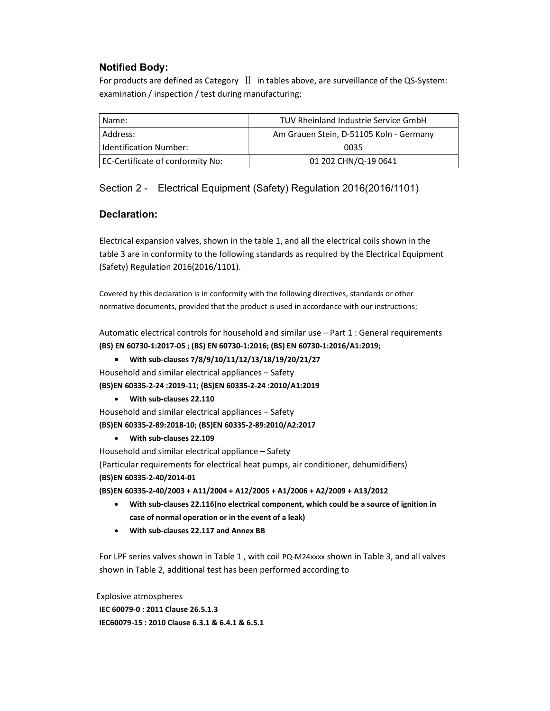## Notified Body:

For products are defined as Category Ⅱ in tables above, are surveillance of the QS-System: examination / inspection / test during manufacturing:

| Name:                            | TUV Rheinland Industrie Service GmbH    |  |  |
|----------------------------------|-----------------------------------------|--|--|
| Address:                         | Am Grauen Stein, D-51105 Koln - Germany |  |  |
| <b>Identification Number:</b>    | 0035                                    |  |  |
| EC-Certificate of conformity No: | 01 202 CHN/Q-19 0641                    |  |  |

Section 2 - Electrical Equipment (Safety) Regulation 2016(2016/1101)

### Declaration:

Electrical expansion valves, shown in the table 1, and all the electrical coils shown in the table 3 are in conformity to the following standards as required by the Electrical Equipment (Safety) Regulation 2016(2016/1101).

Covered by this declaration is in conformity with the following directives, standards or other normative documents, provided that the product is used in accordance with our instructions:

Automatic electrical controls for household and similar use – Part 1 : General requirements (BS) EN 60730-1:2017-05 ; (BS) EN 60730-1:2016; (BS) EN 60730-1:2016/A1:2019;

 With sub-clauses 7/8/9/10/11/12/13/18/19/20/21/27 Household and similar electrical appliances – Safety

(BS)EN 60335-2-24 :2019-11; (BS)EN 60335-2-24 :2010/A1:2019

### With sub-clauses 22.110

Household and similar electrical appliances – Safety

(BS)EN 60335-2-89:2018-10; (BS)EN 60335-2-89:2010/A2:2017

With sub-clauses 22.109

Household and similar electrical appliance – Safety

(Particular requirements for electrical heat pumps, air conditioner, dehumidifiers) (BS)EN 60335-2-40/2014-01

(BS)EN 60335-2-40/2003 + A11/2004 + A12/2005 + A1/2006 + A2/2009 + A13/2012

- With sub-clauses 22.116(no electrical component, which could be a source of ignition in case of normal operation or in the event of a leak)
- With sub-clauses 22.117 and Annex BB

For LPF series valves shown in Table 1 , with coil PQ-M24xxxx shown in Table 3, and all valves shown in Table 2, additional test has been performed according to

Explosive atmospheres IEC 60079-0 : 2011 Clause 26.5.1.3 IEC60079-15 : 2010 Clause 6.3.1 & 6.4.1 & 6.5.1